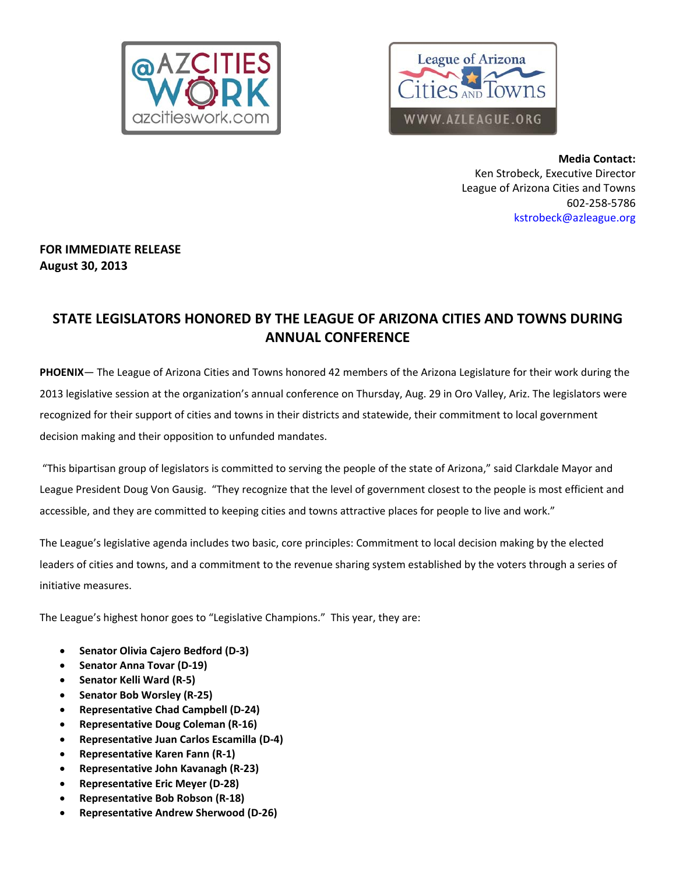



**Media Contact:** Ken Strobeck, Executive Director League of Arizona Cities and Towns 602‐258‐5786 kstrobeck@azleague.org

## **FOR IMMEDIATE RELEASE August 30, 2013**

# **STATE LEGISLATORS HONORED BY THE LEAGUE OF ARIZONA CITIES AND TOWNS DURING ANNUAL CONFERENCE**

**PHOENIX**— The League of Arizona Cities and Towns honored 42 members of the Arizona Legislature for their work during the 2013 legislative session at the organization's annual conference on Thursday, Aug. 29 in Oro Valley, Ariz. The legislators were recognized for their support of cities and towns in their districts and statewide, their commitment to local government decision making and their opposition to unfunded mandates.

"This bipartisan group of legislators is committed to serving the people of the state of Arizona," said Clarkdale Mayor and League President Doug Von Gausig. "They recognize that the level of government closest to the people is most efficient and accessible, and they are committed to keeping cities and towns attractive places for people to live and work."

The League's legislative agenda includes two basic, core principles: Commitment to local decision making by the elected leaders of cities and towns, and a commitment to the revenue sharing system established by the voters through a series of initiative measures.

The League's highest honor goes to "Legislative Champions." This year, they are:

- **Senator Olivia Cajero Bedford (D‐3)**
- **Senator Anna Tovar (D‐19)**
- **Senator Kelli Ward (R‐5)**
- **Senator Bob Worsley (R‐25)**
- **Representative Chad Campbell (D‐24)**
- **Representative Doug Coleman (R‐16)**
- **Representative Juan Carlos Escamilla (D‐4)**
- **Representative Karen Fann (R‐1)**
- **Representative John Kavanagh (R‐23)**
- **Representative Eric Meyer (D‐28)**
- **Representative Bob Robson (R‐18)**
- **Representative Andrew Sherwood (D‐26)**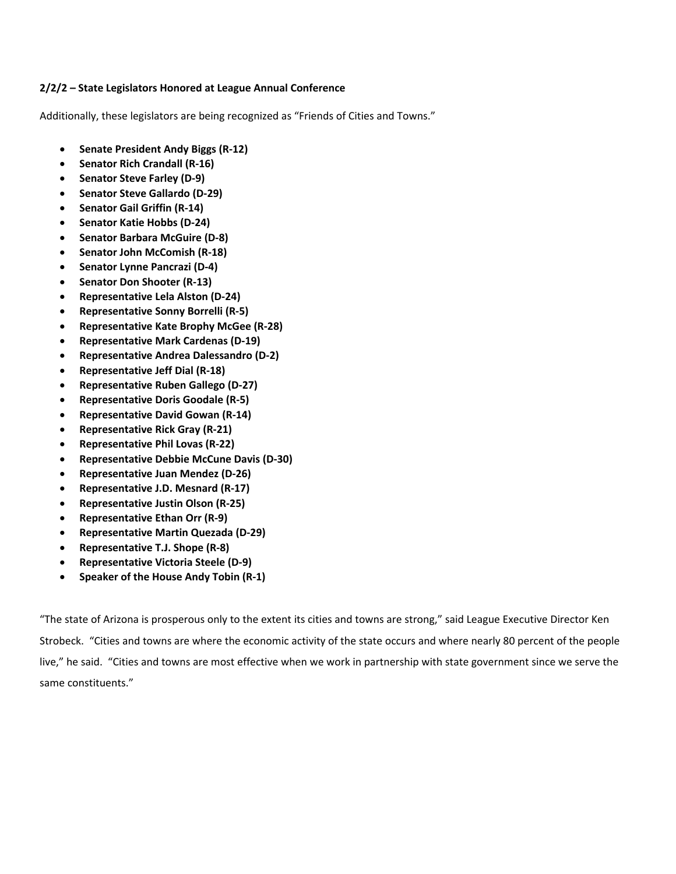## **2/2/2 – State Legislators Honored at League Annual Conference**

Additionally, these legislators are being recognized as "Friends of Cities and Towns."

- **Senate President Andy Biggs (R‐12)**
- **Senator Rich Crandall (R‐16)**
- **Senator Steve Farley (D‐9)**
- **Senator Steve Gallardo (D‐29)**
- **Senator Gail Griffin (R‐14)**
- **Senator Katie Hobbs (D‐24)**
- **Senator Barbara McGuire (D‐8)**
- **Senator John McComish (R‐18)**
- **Senator Lynne Pancrazi (D‐4)**
- **Senator Don Shooter (R‐13)**
- **Representative Lela Alston (D‐24)**
- **Representative Sonny Borrelli (R‐5)**
- **Representative Kate Brophy McGee (R‐28)**
- **Representative Mark Cardenas (D‐19)**
- **Representative Andrea Dalessandro (D‐2)**
- **Representative Jeff Dial (R‐18)**
- **Representative Ruben Gallego (D‐27)**
- **Representative Doris Goodale (R‐5)**
- **Representative David Gowan (R‐14)**
- **Representative Rick Gray (R‐21)**
- **Representative Phil Lovas (R‐22)**
- **Representative Debbie McCune Davis (D‐30)**
- **Representative Juan Mendez (D‐26)**
- **Representative J.D. Mesnard (R‐17)**
- **Representative Justin Olson (R‐25)**
- **Representative Ethan Orr (R‐9)**
- **Representative Martin Quezada (D‐29)**
- **Representative T.J. Shope (R‐8)**
- **Representative Victoria Steele (D‐9)**
- **Speaker of the House Andy Tobin (R‐1)**

"The state of Arizona is prosperous only to the extent its cities and towns are strong," said League Executive Director Ken Strobeck. "Cities and towns are where the economic activity of the state occurs and where nearly 80 percent of the people live," he said. "Cities and towns are most effective when we work in partnership with state government since we serve the same constituents."